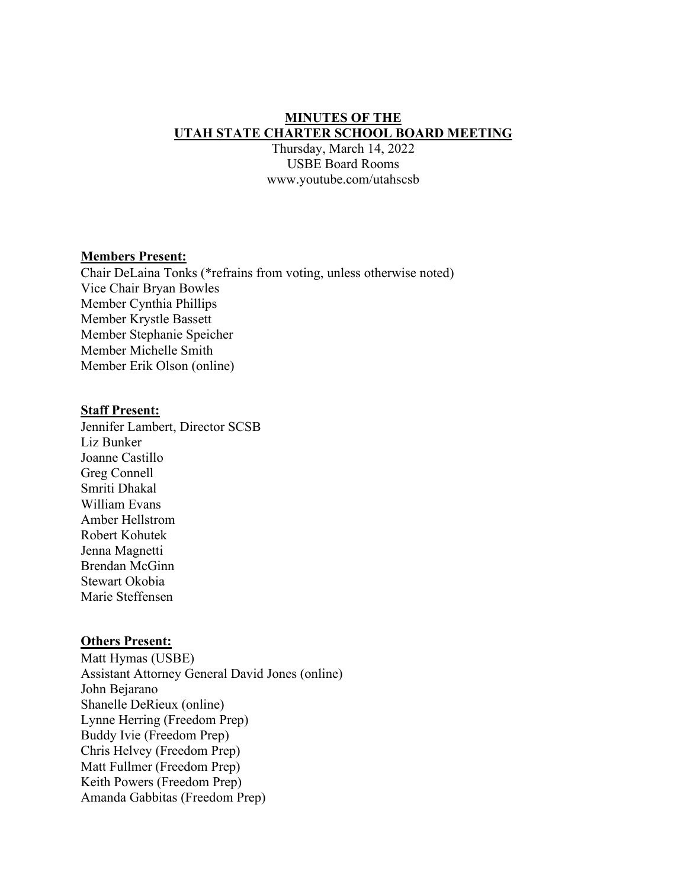### **MINUTES OF THE UTAH STATE CHARTER SCHOOL BOARD MEETING**

Thursday, March 14, 2022 USBE Board Rooms www.youtube.com/utahscsb

#### **Members Present:**

Chair DeLaina Tonks (\*refrains from voting, unless otherwise noted) Vice Chair Bryan Bowles Member Cynthia Phillips Member Krystle Bassett Member Stephanie Speicher Member Michelle Smith Member Erik Olson (online)

#### **Staff Present:**

Jennifer Lambert, Director SCSB Liz Bunker Joanne Castillo Greg Connell Smriti Dhakal William Evans Amber Hellstrom Robert Kohutek Jenna Magnetti Brendan McGinn Stewart Okobia Marie Steffensen

#### **Others Present:**

Matt Hymas (USBE) Assistant Attorney General David Jones (online) John Bejarano Shanelle DeRieux (online) Lynne Herring (Freedom Prep) Buddy Ivie (Freedom Prep) Chris Helvey (Freedom Prep) Matt Fullmer (Freedom Prep) Keith Powers (Freedom Prep) Amanda Gabbitas (Freedom Prep)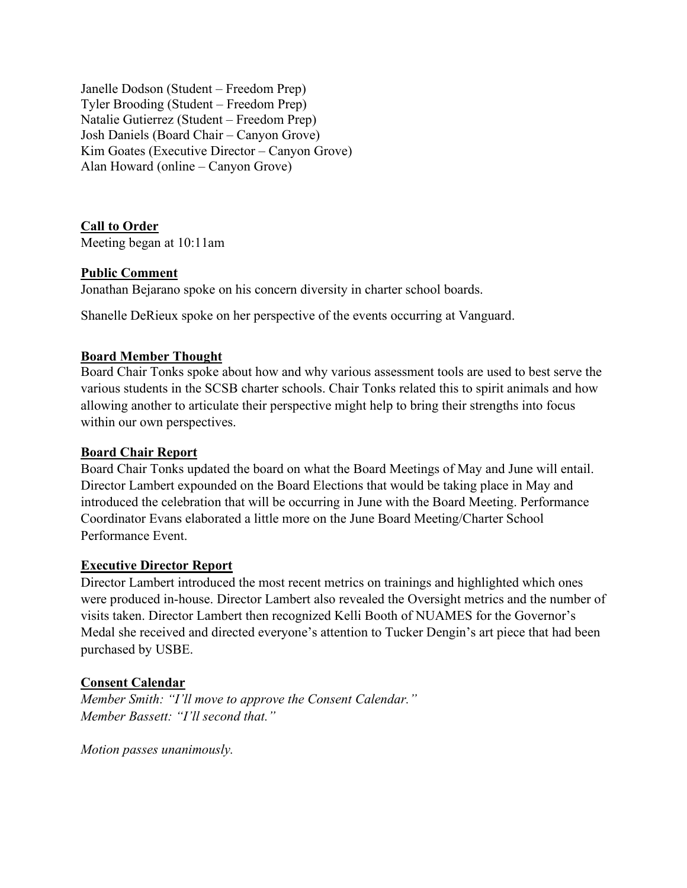Janelle Dodson (Student – Freedom Prep) Tyler Brooding (Student – Freedom Prep) Natalie Gutierrez (Student – Freedom Prep) Josh Daniels (Board Chair – Canyon Grove) Kim Goates (Executive Director – Canyon Grove) Alan Howard (online – Canyon Grove)

**Call to Order** 

Meeting began at 10:11am

# **Public Comment**

Jonathan Bejarano spoke on his concern diversity in charter school boards.

Shanelle DeRieux spoke on her perspective of the events occurring at Vanguard.

### **Board Member Thought**

Board Chair Tonks spoke about how and why various assessment tools are used to best serve the various students in the SCSB charter schools. Chair Tonks related this to spirit animals and how allowing another to articulate their perspective might help to bring their strengths into focus within our own perspectives.

# **Board Chair Report**

Board Chair Tonks updated the board on what the Board Meetings of May and June will entail. Director Lambert expounded on the Board Elections that would be taking place in May and introduced the celebration that will be occurring in June with the Board Meeting. Performance Coordinator Evans elaborated a little more on the June Board Meeting/Charter School Performance Event.

### **Executive Director Report**

Director Lambert introduced the most recent metrics on trainings and highlighted which ones were produced in-house. Director Lambert also revealed the Oversight metrics and the number of visits taken. Director Lambert then recognized Kelli Booth of NUAMES for the Governor's Medal she received and directed everyone's attention to Tucker Dengin's art piece that had been purchased by USBE.

# **Consent Calendar**

*Member Smith: "I'll move to approve the Consent Calendar." Member Bassett: "I'll second that."* 

*Motion passes unanimously.*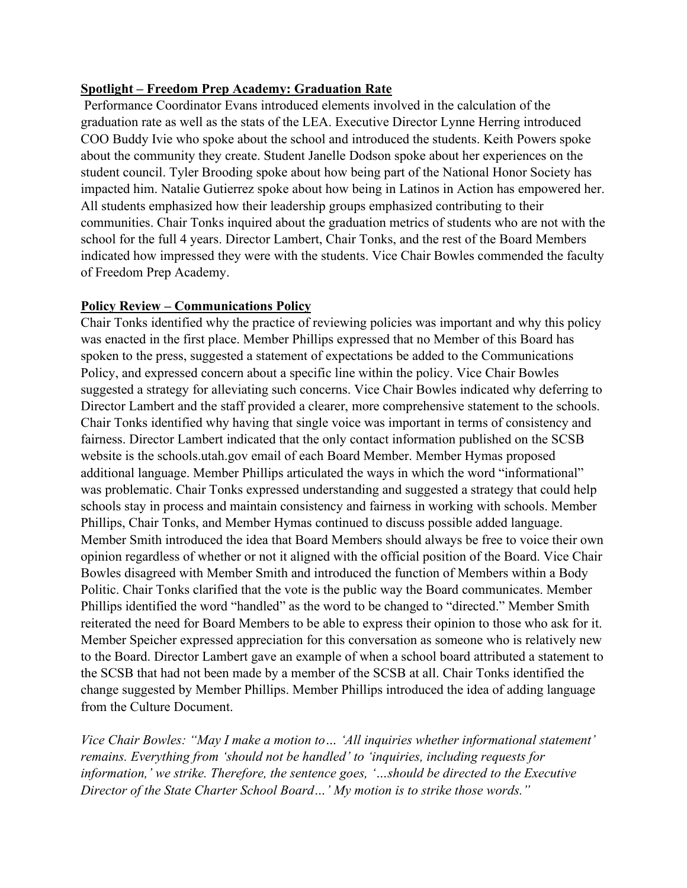### **Spotlight – Freedom Prep Academy: Graduation Rate**

 Performance Coordinator Evans introduced elements involved in the calculation of the graduation rate as well as the stats of the LEA. Executive Director Lynne Herring introduced COO Buddy Ivie who spoke about the school and introduced the students. Keith Powers spoke about the community they create. Student Janelle Dodson spoke about her experiences on the student council. Tyler Brooding spoke about how being part of the National Honor Society has impacted him. Natalie Gutierrez spoke about how being in Latinos in Action has empowered her. All students emphasized how their leadership groups emphasized contributing to their communities. Chair Tonks inquired about the graduation metrics of students who are not with the school for the full 4 years. Director Lambert, Chair Tonks, and the rest of the Board Members indicated how impressed they were with the students. Vice Chair Bowles commended the faculty of Freedom Prep Academy.

# **Policy Review – Communications Policy**

Chair Tonks identified why the practice of reviewing policies was important and why this policy was enacted in the first place. Member Phillips expressed that no Member of this Board has spoken to the press, suggested a statement of expectations be added to the Communications Policy, and expressed concern about a specific line within the policy. Vice Chair Bowles suggested a strategy for alleviating such concerns. Vice Chair Bowles indicated why deferring to Director Lambert and the staff provided a clearer, more comprehensive statement to the schools. Chair Tonks identified why having that single voice was important in terms of consistency and fairness. Director Lambert indicated that the only contact information published on the SCSB website is the schools.utah.gov email of each Board Member. Member Hymas proposed additional language. Member Phillips articulated the ways in which the word "informational" was problematic. Chair Tonks expressed understanding and suggested a strategy that could help schools stay in process and maintain consistency and fairness in working with schools. Member Phillips, Chair Tonks, and Member Hymas continued to discuss possible added language. Member Smith introduced the idea that Board Members should always be free to voice their own opinion regardless of whether or not it aligned with the official position of the Board. Vice Chair Bowles disagreed with Member Smith and introduced the function of Members within a Body Politic. Chair Tonks clarified that the vote is the public way the Board communicates. Member Phillips identified the word "handled" as the word to be changed to "directed." Member Smith reiterated the need for Board Members to be able to express their opinion to those who ask for it. Member Speicher expressed appreciation for this conversation as someone who is relatively new to the Board. Director Lambert gave an example of when a school board attributed a statement to the SCSB that had not been made by a member of the SCSB at all. Chair Tonks identified the change suggested by Member Phillips. Member Phillips introduced the idea of adding language from the Culture Document.

*Vice Chair Bowles: "May I make a motion to… 'All inquiries whether informational statement' remains. Everything from 'should not be handled' to 'inquiries, including requests for information,' we strike. Therefore, the sentence goes, '…should be directed to the Executive Director of the State Charter School Board…' My motion is to strike those words."*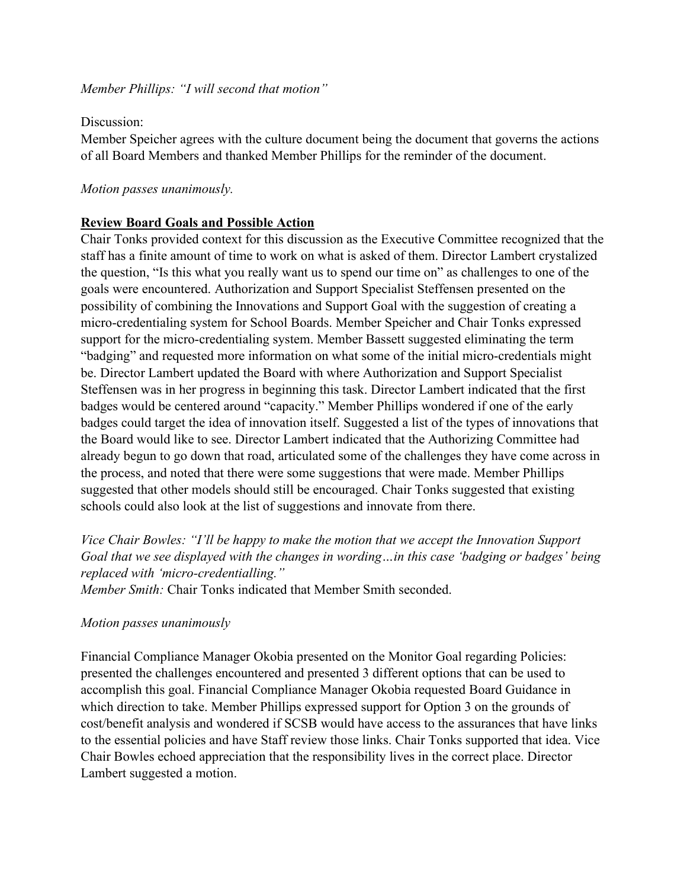*Member Phillips: "I will second that motion"* 

### Discussion:

Member Speicher agrees with the culture document being the document that governs the actions of all Board Members and thanked Member Phillips for the reminder of the document.

### *Motion passes unanimously.*

### **Review Board Goals and Possible Action**

Chair Tonks provided context for this discussion as the Executive Committee recognized that the staff has a finite amount of time to work on what is asked of them. Director Lambert crystalized the question, "Is this what you really want us to spend our time on" as challenges to one of the goals were encountered. Authorization and Support Specialist Steffensen presented on the possibility of combining the Innovations and Support Goal with the suggestion of creating a micro-credentialing system for School Boards. Member Speicher and Chair Tonks expressed support for the micro-credentialing system. Member Bassett suggested eliminating the term "badging" and requested more information on what some of the initial micro-credentials might be. Director Lambert updated the Board with where Authorization and Support Specialist Steffensen was in her progress in beginning this task. Director Lambert indicated that the first badges would be centered around "capacity." Member Phillips wondered if one of the early badges could target the idea of innovation itself. Suggested a list of the types of innovations that the Board would like to see. Director Lambert indicated that the Authorizing Committee had already begun to go down that road, articulated some of the challenges they have come across in the process, and noted that there were some suggestions that were made. Member Phillips suggested that other models should still be encouraged. Chair Tonks suggested that existing schools could also look at the list of suggestions and innovate from there.

*Vice Chair Bowles: "I'll be happy to make the motion that we accept the Innovation Support Goal that we see displayed with the changes in wording…in this case 'badging or badges' being replaced with 'micro-credentialling."* 

*Member Smith:* Chair Tonks indicated that Member Smith seconded.

# *Motion passes unanimously*

Financial Compliance Manager Okobia presented on the Monitor Goal regarding Policies: presented the challenges encountered and presented 3 different options that can be used to accomplish this goal. Financial Compliance Manager Okobia requested Board Guidance in which direction to take. Member Phillips expressed support for Option 3 on the grounds of cost/benefit analysis and wondered if SCSB would have access to the assurances that have links to the essential policies and have Staff review those links. Chair Tonks supported that idea. Vice Chair Bowles echoed appreciation that the responsibility lives in the correct place. Director Lambert suggested a motion.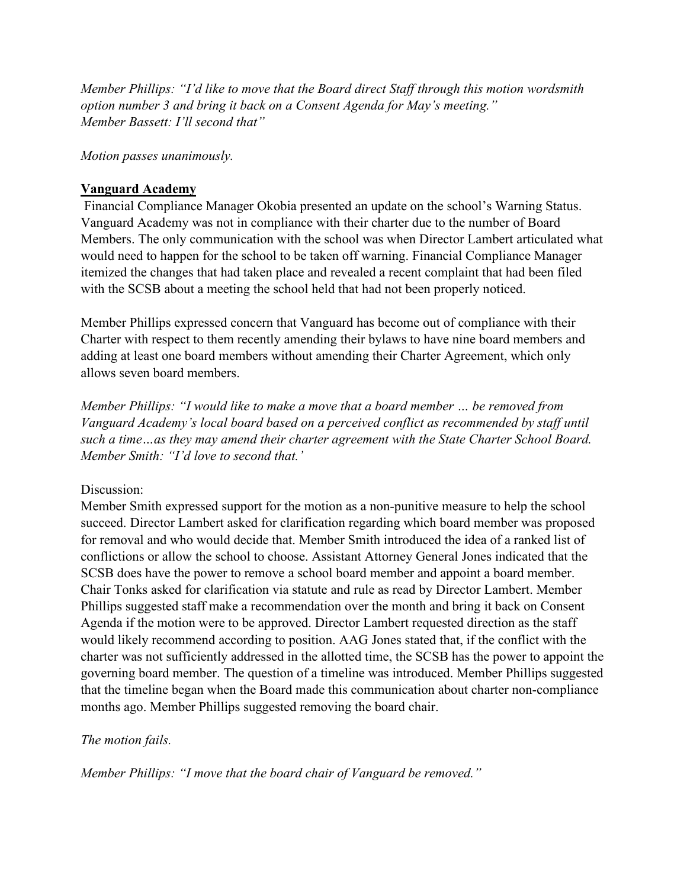*Member Phillips: "I'd like to move that the Board direct Staff through this motion wordsmith option number 3 and bring it back on a Consent Agenda for May's meeting." Member Bassett: I'll second that"* 

*Motion passes unanimously.*

# **Vanguard Academy**

Financial Compliance Manager Okobia presented an update on the school's Warning Status. Vanguard Academy was not in compliance with their charter due to the number of Board Members. The only communication with the school was when Director Lambert articulated what would need to happen for the school to be taken off warning. Financial Compliance Manager itemized the changes that had taken place and revealed a recent complaint that had been filed with the SCSB about a meeting the school held that had not been properly noticed.

Member Phillips expressed concern that Vanguard has become out of compliance with their Charter with respect to them recently amending their bylaws to have nine board members and adding at least one board members without amending their Charter Agreement, which only allows seven board members.

*Member Phillips: "I would like to make a move that a board member … be removed from Vanguard Academy's local board based on a perceived conflict as recommended by staff until such a time…as they may amend their charter agreement with the State Charter School Board. Member Smith: "I'd love to second that.'* 

# Discussion:

Member Smith expressed support for the motion as a non-punitive measure to help the school succeed. Director Lambert asked for clarification regarding which board member was proposed for removal and who would decide that. Member Smith introduced the idea of a ranked list of conflictions or allow the school to choose. Assistant Attorney General Jones indicated that the SCSB does have the power to remove a school board member and appoint a board member. Chair Tonks asked for clarification via statute and rule as read by Director Lambert. Member Phillips suggested staff make a recommendation over the month and bring it back on Consent Agenda if the motion were to be approved. Director Lambert requested direction as the staff would likely recommend according to position. AAG Jones stated that, if the conflict with the charter was not sufficiently addressed in the allotted time, the SCSB has the power to appoint the governing board member. The question of a timeline was introduced. Member Phillips suggested that the timeline began when the Board made this communication about charter non-compliance months ago. Member Phillips suggested removing the board chair.

# *The motion fails.*

*Member Phillips: "I move that the board chair of Vanguard be removed."*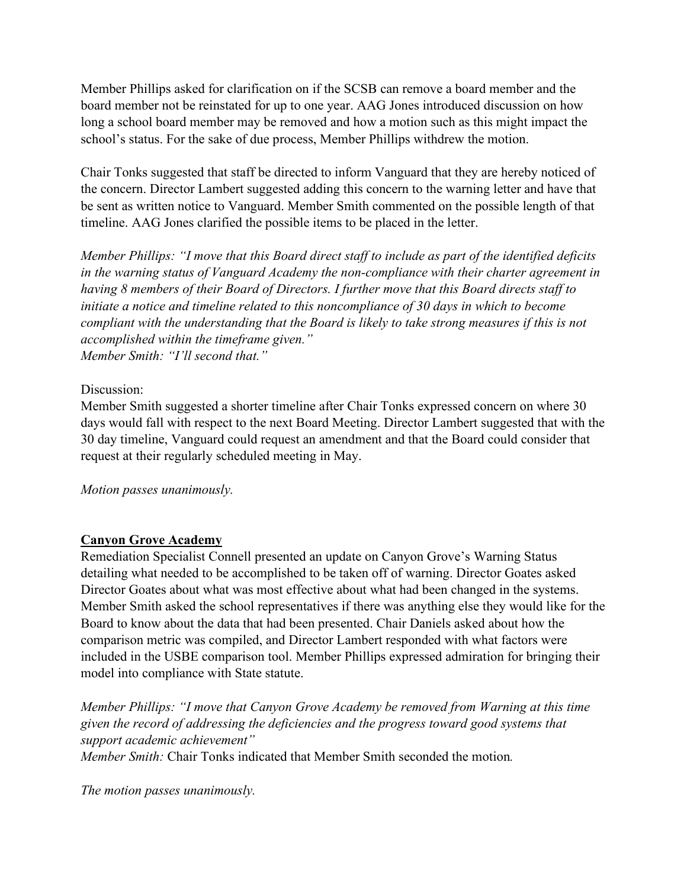Member Phillips asked for clarification on if the SCSB can remove a board member and the board member not be reinstated for up to one year. AAG Jones introduced discussion on how long a school board member may be removed and how a motion such as this might impact the school's status. For the sake of due process, Member Phillips withdrew the motion.

Chair Tonks suggested that staff be directed to inform Vanguard that they are hereby noticed of the concern. Director Lambert suggested adding this concern to the warning letter and have that be sent as written notice to Vanguard. Member Smith commented on the possible length of that timeline. AAG Jones clarified the possible items to be placed in the letter.

*Member Phillips: "I move that this Board direct staff to include as part of the identified deficits in the warning status of Vanguard Academy the non-compliance with their charter agreement in having 8 members of their Board of Directors. I further move that this Board directs staff to initiate a notice and timeline related to this noncompliance of 30 days in which to become compliant with the understanding that the Board is likely to take strong measures if this is not accomplished within the timeframe given." Member Smith: "I'll second that."* 

### Discussion:

Member Smith suggested a shorter timeline after Chair Tonks expressed concern on where 30 days would fall with respect to the next Board Meeting. Director Lambert suggested that with the 30 day timeline, Vanguard could request an amendment and that the Board could consider that request at their regularly scheduled meeting in May.

*Motion passes unanimously.*

# **Canyon Grove Academy**

Remediation Specialist Connell presented an update on Canyon Grove's Warning Status detailing what needed to be accomplished to be taken off of warning. Director Goates asked Director Goates about what was most effective about what had been changed in the systems. Member Smith asked the school representatives if there was anything else they would like for the Board to know about the data that had been presented. Chair Daniels asked about how the comparison metric was compiled, and Director Lambert responded with what factors were included in the USBE comparison tool. Member Phillips expressed admiration for bringing their model into compliance with State statute.

*Member Phillips: "I move that Canyon Grove Academy be removed from Warning at this time given the record of addressing the deficiencies and the progress toward good systems that support academic achievement" Member Smith:* Chair Tonks indicated that Member Smith seconded the motion*.* 

*The motion passes unanimously.*